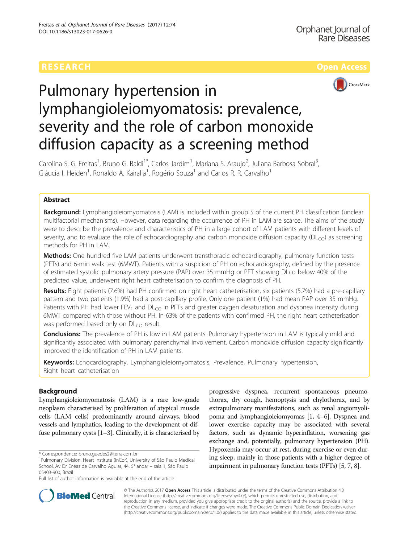

# Pulmonary hypertension in lymphangioleiomyomatosis: prevalence, severity and the role of carbon monoxide diffusion capacity as a screening method

Carolina S. G. Freitas<sup>1</sup>, Bruno G. Baldi<sup>1\*</sup>, Carlos Jardim<sup>1</sup>, Mariana S. Araujo<sup>2</sup>, Juliana Barbosa Sobral<sup>3</sup> , Gláucia I. Heiden<sup>1</sup>, Ronaldo A. Kairalla<sup>1</sup>, Rogério Souza<sup>1</sup> and Carlos R. R. Carvalho<sup>1</sup>

# Abstract

Background: Lymphangioleiomyomatosis (LAM) is included within group 5 of the current PH classification (unclear multifactorial mechanisms). However, data regarding the occurrence of PH in LAM are scarce. The aims of the study were to describe the prevalence and characteristics of PH in a large cohort of LAM patients with different levels of severity, and to evaluate the role of echocardiography and carbon monoxide diffusion capacity ( $DL<sub>CO</sub>$ ) as screening methods for PH in LAM.

Methods: One hundred five LAM patients underwent transthoracic echocardiography, pulmonary function tests (PFTs) and 6-min walk test (6MWT). Patients with a suspicion of PH on echocardiography, defined by the presence of estimated systolic pulmonary artery pressure (PAP) over 35 mmHg or PFT showing DLco below 40% of the predicted value, underwent right heart catheterisation to confirm the diagnosis of PH.

Results: Eight patients (7.6%) had PH confirmed on right heart catheterisation, six patients (5.7%) had a pre-capillary pattern and two patients (1.9%) had a post-capillary profile. Only one patient (1%) had mean PAP over 35 mmHg. Patients with PH had lower FEV<sub>1</sub> and DL<sub>CO</sub> in PFTs and greater oxygen desaturation and dyspnea intensity during 6MWT compared with those without PH. In 63% of the patients with confirmed PH, the right heart catheterisation was performed based only on  $DL<sub>CO</sub>$  result.

Conclusions: The prevalence of PH is low in LAM patients. Pulmonary hypertension in LAM is typically mild and significantly associated with pulmonary parenchymal involvement. Carbon monoxide diffusion capacity significantly improved the identification of PH in LAM patients.

Keywords: Echocardiography, Lymphangioleiomyomatosis, Prevalence, Pulmonary hypertension, Right heart catheterisation

# Background

Lymphangioleiomyomatosis (LAM) is a rare low-grade neoplasm characterised by proliferation of atypical muscle cells (LAM cells) predominantly around airways, blood vessels and lymphatics, leading to the development of diffuse pulmonary cysts [\[1](#page-5-0)–[3\]](#page-5-0). Clinically, it is characterised by

progressive dyspnea, recurrent spontaneous pneumothorax, dry cough, hemoptysis and chylothorax, and by extrapulmonary manifestations, such as renal angiomyolipoma and lymphangioleiomyomas [[1](#page-5-0), [4](#page-5-0)–[6\]](#page-5-0). Dyspnea and lower exercise capacity may be associated with several factors, such as dynamic hyperinflation, worsening gas exchange and, potentially, pulmonary hypertension (PH). Hypoxemia may occur at rest, during exercise or even during sleep, mainly in those patients with a higher degree of impairment in pulmonary function tests (PFTs) [\[5, 7](#page-5-0), [8](#page-5-0)].



© The Author(s). 2017 **Open Access** This article is distributed under the terms of the Creative Commons Attribution 4.0 International License [\(http://creativecommons.org/licenses/by/4.0/](http://creativecommons.org/licenses/by/4.0/)), which permits unrestricted use, distribution, and reproduction in any medium, provided you give appropriate credit to the original author(s) and the source, provide a link to the Creative Commons license, and indicate if changes were made. The Creative Commons Public Domain Dedication waiver [\(http://creativecommons.org/publicdomain/zero/1.0/](http://creativecommons.org/publicdomain/zero/1.0/)) applies to the data made available in this article, unless otherwise stated.

<sup>\*</sup> Correspondence: [bruno.guedes2@terra.com.br](mailto:bruno.guedes2@terra.com.br) <sup>1</sup>

<sup>&</sup>lt;sup>1</sup>Pulmonary Division, Heart Institute (InCor), University of São Paulo Medical School, Av Dr Enéas de Carvalho Aguiar, 44, 5° andar – sala 1, São Paulo 05403-900, Brazil

Full list of author information is available at the end of the article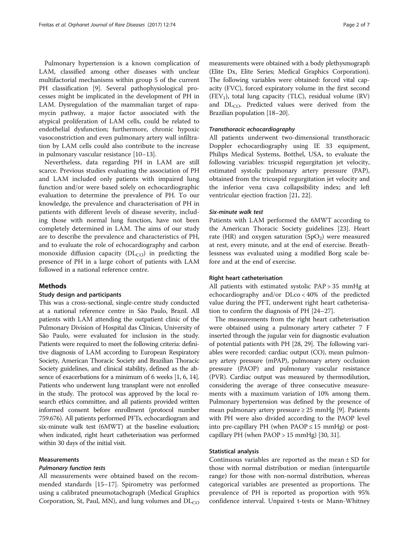Pulmonary hypertension is a known complication of LAM, classified among other diseases with unclear multifactorial mechanisms within group 5 of the current PH classification [\[9\]](#page-5-0). Several pathophysiological processes might be implicated in the development of PH in LAM. Dysregulation of the mammalian target of rapamycin pathway, a major factor associated with the atypical proliferation of LAM cells, could be related to endothelial dysfunction; furthermore, chronic hypoxic vasoconstriction and even pulmonary artery wall infiltration by LAM cells could also contribute to the increase in pulmonary vascular resistance [\[10](#page-5-0)–[13\]](#page-5-0).

Nevertheless, data regarding PH in LAM are still scarce. Previous studies evaluating the association of PH and LAM included only patients with impaired lung function and/or were based solely on echocardiographic evaluation to determine the prevalence of PH. To our knowledge, the prevalence and characterisation of PH in patients with different levels of disease severity, including those with normal lung function, have not been completely determined in LAM. The aims of our study are to describe the prevalence and characteristics of PH, and to evaluate the role of echocardiography and carbon monoxide diffusion capacity  $(DL_{CO})$  in predicting the presence of PH in a large cohort of patients with LAM followed in a national reference centre.

# Methods

# Study design and participants

This was a cross-sectional, single-centre study conducted at a national reference centre in São Paulo, Brazil. All patients with LAM attending the outpatient clinic of the Pulmonary Division of Hospital das Clínicas, University of São Paulo, were evaluated for inclusion in the study. Patients were required to meet the following criteria: definitive diagnosis of LAM according to European Respiratory Society, American Thoracic Society and Brazilian Thoracic Society guidelines, and clinical stability, defined as the absence of exacerbations for a minimum of 6 weeks [\[1, 6](#page-5-0), [14](#page-5-0)]. Patients who underwent lung transplant were not enrolled in the study. The protocol was approved by the local research ethics committee, and all patients provided written informed consent before enrollment (protocol number 759.676). All patients performed PFTs, echocardiogram and six-minute walk test (6MWT) at the baseline evaluation; when indicated, right heart catheterisation was performed within 30 days of the initial visit.

# Measurements

# Pulmonary function tests

All measurements were obtained based on the recommended standards [[15](#page-5-0)–[17](#page-6-0)]. Spirometry was performed using a calibrated pneumotachograph (Medical Graphics Corporation, St, Paul, MN), and lung volumes and  $DL<sub>CO</sub>$  measurements were obtained with a body plethysmograph (Elite Dx, Elite Series; Medical Graphics Corporation). The following variables were obtained: forced vital capacity (FVC), forced expiratory volume in the first second (FEV<sub>1</sub>), total lung capacity (TLC), residual volume (RV) and  $DL<sub>CO</sub>$ . Predicted values were derived from the Brazilian population [\[18](#page-6-0)–[20](#page-6-0)].

#### Transthoracic echocardiography

All patients underwent two-dimensional transthoracic Doppler echocardiography using IE 33 equipment, Philips Medical Systems, Botthel, USA, to evaluate the following variables: tricuspid regurgitation jet velocity, estimated systolic pulmonary artery pressure (PAP), obtained from the tricuspid regurgitation jet velocity and the inferior vena cava collapsibility index; and left ventricular ejection fraction [\[21](#page-6-0), [22](#page-6-0)].

# Six-minute walk test

Patients with LAM performed the 6MWT according to the American Thoracic Society guidelines [[23\]](#page-6-0). Heart rate (HR) and oxygen saturation  $(SpO<sub>2</sub>)$  were measured at rest, every minute, and at the end of exercise. Breathlessness was evaluated using a modified Borg scale before and at the end of exercise.

# Right heart catheterisation

All patients with estimated systolic PAP > 35 mmHg at echocardiography and/or DLco < 40% of the predicted value during the PFT, underwent right heart catheterisation to confirm the diagnosis of PH [[24](#page-6-0)–[27](#page-6-0)].

The measurements from the right heart catheterisation were obtained using a pulmonary artery catheter 7 F inserted through the jugular vein for diagnostic evaluation of potential patients with PH [\[28, 29\]](#page-6-0). The following variables were recorded: cardiac output (CO), mean pulmonary artery pressure (mPAP), pulmonary artery occlusion pressure (PAOP) and pulmonary vascular resistance (PVR). Cardiac output was measured by thermodilution, considering the average of three consecutive measurements with a maximum variation of 10% among them. Pulmonary hypertension was defined by the presence of mean pulmonary artery pressure ≥ 25 mmHg [\[9](#page-5-0)]. Patients with PH were also divided according to the PAOP level into pre-capillary PH (when  $PAOP \le 15$  mmHg) or postcapillary PH (when  $PAOP > 15$  mmHg) [[30, 31\]](#page-6-0).

# Statistical analysis

Continuous variables are reported as the mean  $\pm$  SD for those with normal distribution or median (interquartile range) for those with non-normal distribution, whereas categorical variables are presented as proportions. The prevalence of PH is reported as proportion with 95% confidence interval. Unpaired t-tests or Mann-Whitney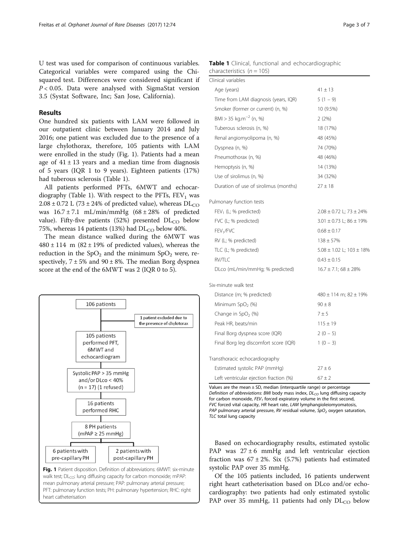U test was used for comparison of continuous variables. Categorical variables were compared using the Chisquared test. Differences were considered significant if  $P < 0.05$ . Data were analysed with SigmaStat version 3.5 (Systat Software, Inc; San Jose, California).

# Results

One hundred six patients with LAM were followed in our outpatient clinic between January 2014 and July 2016; one patient was excluded due to the presence of a large chylothorax, therefore, 105 patients with LAM were enrolled in the study (Fig. 1). Patients had a mean age of  $41 \pm 13$  years and a median time from diagnosis of 5 years (IQR 1 to 9 years). Eighteen patients (17%) had tuberous sclerosis (Table 1).

All patients performed PFTs, 6MWT and echocardiography (Table 1). With respect to the PFTs,  $FEV<sub>1</sub>$  was  $2.08 \pm 0.72$  L (73  $\pm$  24% of predicted value), whereas DL<sub>CO</sub> was  $16.7 \pm 7.1$  mL/min/mmHg  $(68 \pm 28\%)$  of predicted value). Fifty-five patients (52%) presented  $DL_{CO}$  below 75%, whereas 14 patients (13%) had  $DL_{CO}$  below 40%.

The mean distance walked during the 6MWT was  $480 \pm 114$  m  $(82 \pm 19\%)$  of predicted values), whereas the reduction in the  $SpO<sub>2</sub>$  and the minimum  $SpO<sub>2</sub>$  were, respectively,  $7 \pm 5\%$  and  $90 \pm 8\%$ . The median Borg dyspnea score at the end of the 6MWT was 2 (IQR 0 to 5).



Table 1 Clinical, functional and echocardiographic characteristics  $(n = 105)$ 

| Clinical variables                     |                                   |
|----------------------------------------|-----------------------------------|
| Age (years)                            | $41 \pm 13$                       |
| Time from LAM diagnosis (years, IQR)   | $5(1 - 9)$                        |
| Smoker (former or current) (n, %)      | 10 (9.5%)                         |
| BMI > 35 kg.m <sup>-2</sup> (n, %)     | 2(2%)                             |
| Tuberous sclerosis (n, %)              | 18 (17%)                          |
| Renal angiomyolipoma (n, %)            | 48 (45%)                          |
| Dyspnea (n, %)                         | 74 (70%)                          |
| Pneumothorax (n, %)                    | 48 (46%)                          |
| Hemoptysis (n, %)                      | 14 (13%)                          |
| Use of sirolimus (n, %)                | 34 (32%)                          |
| Duration of use of sirolimus (months)  | $27 \pm 18$                       |
| Pulmonary function tests               |                                   |
| $FEV_1$ (L; % predicted)               | $2.08 \pm 0.72$ L; 73 $\pm$ 24%   |
| FVC (L; % predicted)                   | $3.01 \pm 0.73$ L; $86 \pm 19%$   |
| FEV <sub>1</sub> /FVC                  | $0.68 \pm 0.17$                   |
| RV (L; % predicted)                    | $138 \pm 57\%$                    |
| TLC (L; % predicted)                   | $5.08 \pm 1.02$ L; $103 \pm 18\%$ |
| <b>RV/TLC</b>                          | $0.43 \pm 0.15$                   |
| DLco (mL/min/mmHg; % predicted)        | $16.7 \pm 7.1$ ; 68 $\pm$ 28%     |
| Six-minute walk test                   |                                   |
| Distance (m; % predicted)              | $480 \pm 114$ m; $82 \pm 19%$     |
| Minimum $SpO2(%)$                      | $90 \pm 8$                        |
| Change in $SpO2$ (%)                   | 7±5                               |
| Peak HR, beats/min                     | $115 \pm 19$                      |
| Final Borg dyspnea score (IQR)         | $2(0 - 5)$                        |
| Final Borg leg discomfort score (IQR)  | $1(0 - 3)$                        |
| Transthoracic echocardiography         |                                   |
| Estimated systolic PAP (mmHg)          | $27 \pm 6$                        |
| Left ventricular ejection fraction (%) | $67 \pm 2$                        |

Values are the mean  $\pm$  SD, median (interquartile range) or percentage Definition of abbreviations: BMI body mass index,  $DL_{CO}$  lung diffusing capacity for carbon monoxide,  $FEV<sub>1</sub>$  forced expiratory volume in the first second, FVC forced vital capacity, HR heart rate, LAM lymphangioleiomyomatosis, PAP pulmonary arterial pressure, RV residual volume,  $SpO<sub>2</sub>$  oxygen saturation, TLC total lung capacity

Based on echocardiography results, estimated systolic PAP was  $27 \pm 6$  mmHg and left ventricular ejection fraction was  $67 \pm 2\%$ . Six (5.7%) patients had estimated systolic PAP over 35 mmHg.

Of the 105 patients included, 16 patients underwent right heart catheterisation based on DLco and/or echocardiography: two patients had only estimated systolic PAP over 35 mmHg, 11 patients had only  $DL_{CO}$  below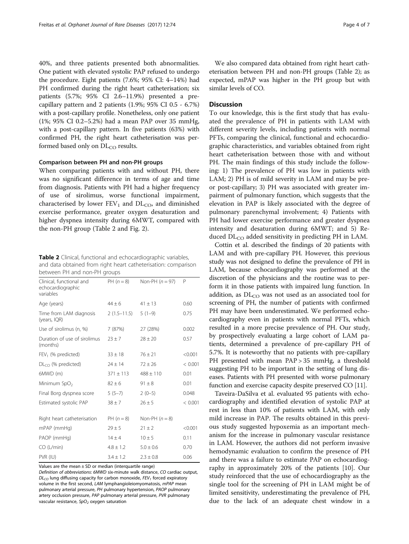40%, and three patients presented both abnormalities. One patient with elevated systolic PAP refused to undergo the procedure. Eight patients (7.6%; 95% CI: 4–14%) had PH confirmed during the right heart catheterisation; six patients (5.7%; 95% CI 2.6–11.9%) presented a precapillary pattern and 2 patients (1.9%; 95% CI 0.5 - 6.7%) with a post-capillary profile. Nonetheless, only one patient (1%; 95% CI 0.2–5.2%) had a mean PAP over 35 mmHg, with a post-capillary pattern. In five patients (63%) with confirmed PH, the right heart catheterisation was performed based only on  $DL<sub>CO</sub>$  results.

# Comparison between PH and non-PH groups

When comparing patients with and without PH, there was no significant difference in terms of age and time from diagnosis. Patients with PH had a higher frequency of use of sirolimus, worse functional impairment, characterised by lower  $FEV_1$  and  $DL_{CO}$ , and diminished exercise performance, greater oxygen desaturation and higher dyspnea intensity during 6MWT, compared with the non-PH group (Table 2 and Fig. [2\)](#page-4-0).

Table 2 Clinical, functional and echocardiographic variables, and data obtained from right heart catheterisation: comparison between PH and non-PH groups

| Clinical, functional and<br>echocardiographic<br>variables | $PH (n = 8)$  | Non-PH $(n = 97)$ | P       |
|------------------------------------------------------------|---------------|-------------------|---------|
| Age (years)                                                | $44 \pm 6$    | $41 \pm 13$       | 0.60    |
| Time from LAM diagnosis<br>(years, IQR)                    | $2(1.5-11.5)$ | $5(1-9)$          | 0.75    |
| Use of sirolimus (n, %)                                    | 7 (87%)       | 27 (28%)          | 0.002   |
| Duration of use of sirolimus<br>(months)                   | $23 + 7$      | $28 \pm 20$       | 0.57    |
| $FEV1$ (% predicted)                                       | $33 \pm 18$   | $76 \pm 21$       | < 0.001 |
| $DLCO$ (% predicted)                                       | $24 \pm 14$   | $72 \pm 26$       | < 0.001 |
| 6MWD (m)                                                   | $371 \pm 113$ | $488 \pm 110$     | 0.01    |
| Minimum SpO <sub>2</sub>                                   | $82 + 6$      | $91 \pm 8$        | 0.01    |
| Final Borg dyspnea score                                   | $5(5-7)$      | $2(0-5)$          | 0.048   |
| Estimated systolic PAP                                     | $38 \pm 7$    | $26 \pm 5$        | < 0.001 |
| Right heart catheterisation                                | PH $(n = 8)$  | Non-PH $(n=8)$    |         |
| mPAP (mmHg)                                                | $29 \pm 5$    | $21 \pm 2$        | < 0.001 |
| PAOP (mmHg)                                                | $14 \pm 4$    | $10 \pm 5$        | 0.11    |
| CO (L/min)                                                 | $4.8 \pm 1.2$ | $5.0 \pm 0.6$     | 0.70    |
| PVR (IU)                                                   | $3.4 \pm 1.2$ | $2.3 \pm 0.8$     | 0.06    |

Values are the mean  $\pm$  SD or median (interquartile range)

Definition of abbreviations: 6MWD six-minute walk distance, CO cardiac output,  $DL_{CO}$  lung diffusing capacity for carbon monoxide, FEV<sub>1</sub> forced expiratory volume in the first second, LAM lymphangioleiomyomatosis, mPAP mean pulmonary arterial pressure, PH pulmonary hypertension, PAOP pulmonary artery occlusion pressure, PAP pulmonary arterial pressure, PVR pulmonary vascular resistance,  $SpO<sub>2</sub>$  oxygen saturation

We also compared data obtained from right heart catheterisation between PH and non-PH groups (Table 2); as expected, mPAP was higher in the PH group but with similar levels of CO.

# **Discussion**

To our knowledge, this is the first study that has evaluated the prevalence of PH in patients with LAM with different severity levels, including patients with normal PFTs, comparing the clinical, functional and echocardiographic characteristics, and variables obtained from right heart catheterisation between those with and without PH. The main findings of this study include the following: 1) The prevalence of PH was low in patients with LAM; 2) PH is of mild severity in LAM and may be preor post-capillary; 3) PH was associated with greater impairment of pulmonary function, which suggests that the elevation in PAP is likely associated with the degree of pulmonary parenchymal involvement; 4) Patients with PH had lower exercise performance and greater dyspnea intensity and desaturation during 6MWT; and 5) Reduced  $DL<sub>CO</sub>$  added sensitivity in predicting PH in LAM.

Cottin et al. described the findings of 20 patients with LAM and with pre-capillary PH. However, this previous study was not designed to define the prevalence of PH in LAM, because echocardiography was performed at the discretion of the physicians and the routine was to perform it in those patients with impaired lung function. In addition, as  $DL_{CO}$  was not used as an associated tool for screening of PH, the number of patients with confirmed PH may have been underestimated. We performed echocardiography even in patients with normal PFTs, which resulted in a more precise prevalence of PH. Our study, by prospectively evaluating a large cohort of LAM patients, determined a prevalence of pre-capillary PH of 5.7%. It is noteworthy that no patients with pre-capillary PH presented with mean PAP > 35 mmHg, a threshold suggesting PH to be important in the setting of lung diseases. Patients with PH presented with worse pulmonary function and exercise capacity despite preserved CO [[11](#page-5-0)].

Taveira-DaSilva et al. evaluated 95 patients with echocardiography and identified elevation of systolic PAP at rest in less than 10% of patients with LAM, with only mild increase in PAP. The results obtained in this previous study suggested hypoxemia as an important mechanism for the increase in pulmonary vascular resistance in LAM. However, the authors did not perform invasive hemodynamic evaluation to confirm the presence of PH and there was a failure to estimate PAP on echocardiography in approximately 20% of the patients [[10\]](#page-5-0). Our study reinforced that the use of echocardiography as the single tool for the screening of PH in LAM might be of limited sensitivity, underestimating the prevalence of PH, due to the lack of an adequate chest window in a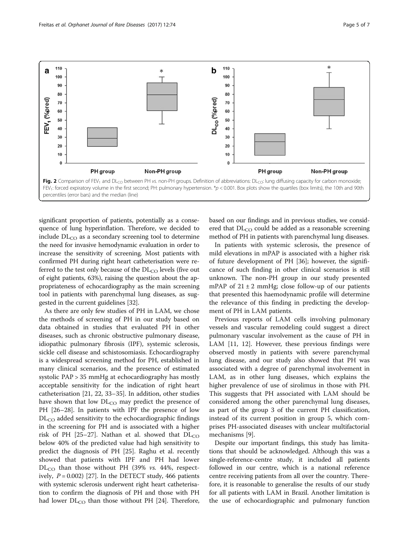<span id="page-4-0"></span>

significant proportion of patients, potentially as a consequence of lung hyperinflation. Therefore, we decided to include  $DL_{CO}$  as a secondary screening tool to determine the need for invasive hemodynamic evaluation in order to increase the sensitivity of screening. Most patients with confirmed PH during right heart catheterisation were referred to the test only because of the  $DL_{CO}$  levels (five out of eight patients, 63%), raising the question about the appropriateness of echocardiography as the main screening tool in patients with parenchymal lung diseases, as suggested in the current guidelines [\[32\]](#page-6-0).

As there are only few studies of PH in LAM, we chose the methods of screening of PH in our study based on data obtained in studies that evaluated PH in other diseases, such as chronic obstructive pulmonary disease, idiopathic pulmonary fibrosis (IPF), systemic sclerosis, sickle cell disease and schistosomiasis. Echocardiography is a widespread screening method for PH, established in many clinical scenarios, and the presence of estimated systolic PAP > 35 mmHg at echocardiography has mostly acceptable sensitivity for the indication of right heart catheterisation [[21, 22, 33](#page-6-0)–[35\]](#page-6-0). In addition, other studies have shown that low  $DL_{CO}$  may predict the presence of PH [[26](#page-6-0)–[28](#page-6-0)]. In patients with IPF the presence of low  $DL<sub>CO</sub>$  added sensitivity to the echocardiographic findings in the screening for PH and is associated with a higher risk of PH [\[25](#page-6-0)–[27](#page-6-0)]. Nathan et al. showed that  $DL_{CO}$ below 40% of the predicted value had high sensitivity to predict the diagnosis of PH [\[25](#page-6-0)]. Raghu et al. recently showed that patients with IPF and PH had lower  $DL_{CO}$  than those without PH (39% vs. 44%, respectively,  $P = 0.002$  [\[27\]](#page-6-0). In the DETECT study, 466 patients with systemic sclerosis underwent right heart catheterisation to confirm the diagnosis of PH and those with PH had lower  $DL_{CO}$  than those without PH [\[24\]](#page-6-0). Therefore,

based on our findings and in previous studies, we considered that  $DL_{CO}$  could be added as a reasonable screening method of PH in patients with parenchymal lung diseases.

In patients with systemic sclerosis, the presence of mild elevations in mPAP is associated with a higher risk of future development of PH [[36](#page-6-0)]; however, the significance of such finding in other clinical scenarios is still unknown. The non-PH group in our study presented mPAP of  $21 \pm 2$  mmHg; close follow-up of our patients that presented this haemodynamic profile will determine the relevance of this finding in predicting the development of PH in LAM patients.

Previous reports of LAM cells involving pulmonary vessels and vascular remodeling could suggest a direct pulmonary vascular involvement as the cause of PH in LAM [\[11, 12](#page-5-0)]. However, these previous findings were observed mostly in patients with severe parenchymal lung disease, and our study also showed that PH was associated with a degree of parenchymal involvement in LAM, as in other lung diseases, which explains the higher prevalence of use of sirolimus in those with PH. This suggests that PH associated with LAM should be considered among the other parenchymal lung diseases, as part of the group 3 of the current PH classification, instead of its current position in group 5, which comprises PH-associated diseases with unclear multifactorial mechanisms [\[9](#page-5-0)].

Despite our important findings, this study has limitations that should be acknowledged. Although this was a single-reference-centre study, it included all patients followed in our centre, which is a national reference centre receiving patients from all over the country. Therefore, it is reasonable to generalise the results of our study for all patients with LAM in Brazil. Another limitation is the use of echocardiographic and pulmonary function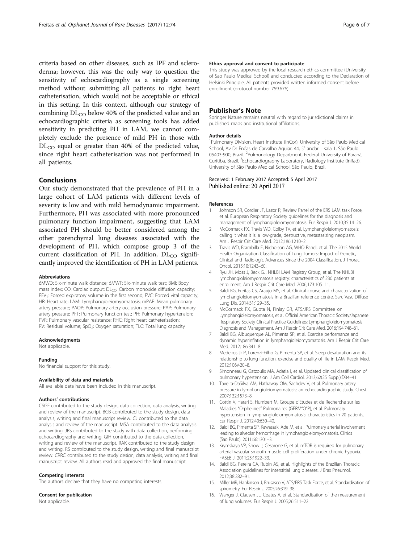<span id="page-5-0"></span>criteria based on other diseases, such as IPF and scleroderma; however, this was the only way to question the sensitivity of echocardiography as a single screening method without submitting all patients to right heart catheterisation, which would not be acceptable or ethical in this setting. In this context, although our strategy of combining  $DL_{CO}$  below 40% of the predicted value and an echocardiographic criteria as screening tools has added sensitivity in predicting PH in LAM, we cannot completely exclude the presence of mild PH in those with  $DL<sub>CO</sub>$  equal or greater than 40% of the predicted value, since right heart catheterisation was not performed in all patients.

# Conclusions

Our study demonstrated that the prevalence of PH in a large cohort of LAM patients with different levels of severity is low and with mild hemodynamic impairment. Furthermore, PH was associated with more pronounced pulmonary function impairment, suggesting that LAM associated PH should be better considered among the other parenchymal lung diseases associated with the development of PH, which compose group 3 of the current classification of PH. In addition,  $DL_{CO}$  significantly improved the identification of PH in LAM patients.

#### Abbreviations

6MWD: Six-minute walk distance; 6MWT: Six-minute walk test; BMI: Body mass index; CO: Cardiac output; DL<sub>CO</sub>: Carbon monoxide diffusion capacity; FEV<sub>1</sub>: Forced expiratory volume in the first second; FVC: Forced vital capacity; HR: Heart rate; LAM: Lymphangioleiomyomatosis; mPAP: Mean pulmonary artery pressure; PAOP: Pulmonary artery occlusion pressure; PAP: Pulmonary artery pressure; PFT: Pulmonary function test; PH: Pulmonary hypertension; PVR: Pulmonary vascular resistance; RHC: Right heart catheterisation; RV: Residual volume; SpO<sub>2</sub>: Oxygen saturation; TLC: Total lung capacity

#### Acknowledgments

Not applicable.

# Funding

No financial support for this study.

#### Availability of data and materials

All available data have been included in this manuscript.

#### Authors' contributions

CSGF contributed to the study design, data collection, data analysis, writing and review of the manuscript. BGB contributed to the study design, data analysis, writing and final manuscript review. CJ contributed to the data analysis and review of the manuscript. MSA contributed to the data analysis and writing. JBS contributed to the study with data collection, performing echocardiography and writing. GIH contributed to the data collection, writing and review of the manuscript. RAK contributed to the study design and writing. RS contributed to the study design, writing and final manuscript review. CRRC contributed to the study design, data analysis, writing and final manuscript review. All authors read and approved the final manuscript.

### Competing interests

The authors declare that they have no competing interests.

#### Consent for publication

Not applicable.

# Ethics approval and consent to participate

This study was approved by the local research ethics committee (University of Sao Paulo Medical School) and conducted according to the Declaration of Helsinki Principle. All patients provided written informed consent before enrollment (protocol number 759.676).

# Publisher's Note

Springer Nature remains neutral with regard to jurisdictional claims in published maps and institutional affiliations.

#### Author details

<sup>1</sup>Pulmonary Division, Heart Institute (InCor), University of São Paulo Medical School, Av Dr Enéas de Carvalho Aguiar, 44, 5° andar – sala 1, São Paulo 05403-900, Brazil. <sup>2</sup>Pulmonology Department, Federal University of Paraná Curitiba, Brazil. <sup>3</sup>Echocardiography Laboratory, Radiology Institute (InRad) University of São Paulo Medical School, São Paulo, Brazil.

# Received: 1 February 2017 Accepted: 5 April 2017 Published online: 20 April 2017

#### References

- 1. Johnson SR, Cordier JF, Lazor R, Review Panel of the FRS LAM task Force, et al. European Respiratory Society guidelines for the diagnosis and management of lymphangioleiomyomatosis. Eur Respir J. 2010;35:14–26.
- 2. McCormack FX, Travis WD, Colby TV, et al. Lymphangioleiomyomatosis: calling it what it is: a low-grade, destructive, metastasizing neoplasm. Am J Respir Crit Care Med. 2012;186:1210–2.
- 3. Travis WD, Brambilla E, Nicholson AG, WHO Panel, et al. The 2015 World Health Organization Classification of Lung Tumors: Impact of Genetic, Clinical and Radiologic Advances Since the 2004 Classification. J Thorac Oncol. 2015;10:1243–60.
- 4. Ryu JH, Moss J, Beck GJ, NHLBI LAM Registry Group, et al. The NHLBI lymphangioleiomyomatosis registry: characteristics of 230 patients at enrollment. Am J Respir Crit Care Med. 2006;173:105–11.
- 5. Baldi BG, Freitas CS, Araujo MS, et al. Clinical course and characterization of lymphangioleiomyomatosis in a Brazilian reference centre. Sarc Vasc Diffuse Lung Dis. 2014;31:129–35.
- 6. McCormack FX, Gupta N, Finlay GR, ATS/JRS Committee on Lymphangioleiomyomatosis, et al. Official American Thoracic Society/Japanese Respiratory Society Clinical Practice Guidelines: Lymphangioleiomyomatosis Diagnosis and Management. Am J Respir Crit Care Med. 2016;194:748–61.
- 7. Baldi BG, Albuquerque AL, Pimenta SP, et al. Exercise performance and dynamic hyperinflation in lymphangioleiomyomatosis. Am J Respir Crit Care Med. 2012;186:341–8.
- 8. Medeiros Jr P, Lorenzi-Filho G, Pimenta SP, et al. Sleep desaturation and its relationship to lung function, exercise and quality of life in LAM. Respir Med. 2012;106:420–8.
- 9. Simonneau G, Gatzoulis MA, Adatia I, et al. Updated clinical classification of pulmonary hypertension. J Am Coll Cardiol. 2013;62(25 Suppl):D34–41.
- 10. Taveira-DaSilva AM, Hathaway OM, Sachdev V, et al. Pulmonary artery pressure in lymphangioleiomyomatosis: an echocardiographic study. Chest. 2007;132:1573–8.
- 11. Cottin V, Harari S, Humbert M, Groupe d'Etudes et de Recherche sur les Maladies "Orphelines" Pulmonaires (GERM"O"P), et al. Pulmonary hypertension in lymphangioleiomyomatosis: characteristics in 20 patients. Eur Respir J. 2012;40:630–40.
- 12. Baldi BG, Pimenta SP, Kawassaki Ade M, et al. Pulmonary arterial involvement leading to alveolar hemorrhage in lymphangioleiomyomatosis. Clinics (Sao Paulo). 2011;66:1301–3.
- 13. Krymskaya VP, Snow J, Cesarone G, et al. mTOR is required for pulmonary arterial vascular smooth muscle cell proliferation under chronic hypoxia. FASEB J. 2011;25:1922–33.
- 14. Baldi BG, Pereira CA, Rubin AS, et al. Highlights of the Brazilian Thoracic Association guidelines for interstitial lung diseases. J Bras Pneumol. 2012;38:282–91.
- 15. Miller MR, Hankinson J, Brusasco V, ATS/ERS Task Force, et al. Standardisation of spirometry. Eur Respir J. 2005;26:319–38.
- 16. Wanger J, Clausen JL, Coates A, et al. Standardisation of the measurement of lung volumes. Eur Respir J. 2005;26:511–22.